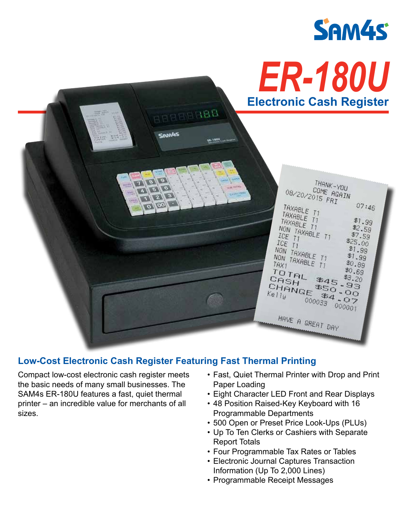



# **Low-Cost Electronic Cash Register Featuring Fast Thermal Printing**

Compact low-cost electronic cash register meets the basic needs of many small businesses. The SAM4s ER-180U features a fast, quiet thermal printer – an incredible value for merchants of all sizes.

- Fast, Quiet Thermal Printer with Drop and Print Paper Loading
- Eight Character LED Front and Rear Displays
- 48 Position Raised-Key Keyboard with 16 Programmable Departments
- 500 Open or Preset Price Look-Ups (PLUs)
- Up To Ten Clerks or Cashiers with Separate Report Totals
- Four Programmable Tax Rates or Tables
- Electronic Journal Captures Transaction Information (Up To 2,000 Lines)
- Programmable Receipt Messages